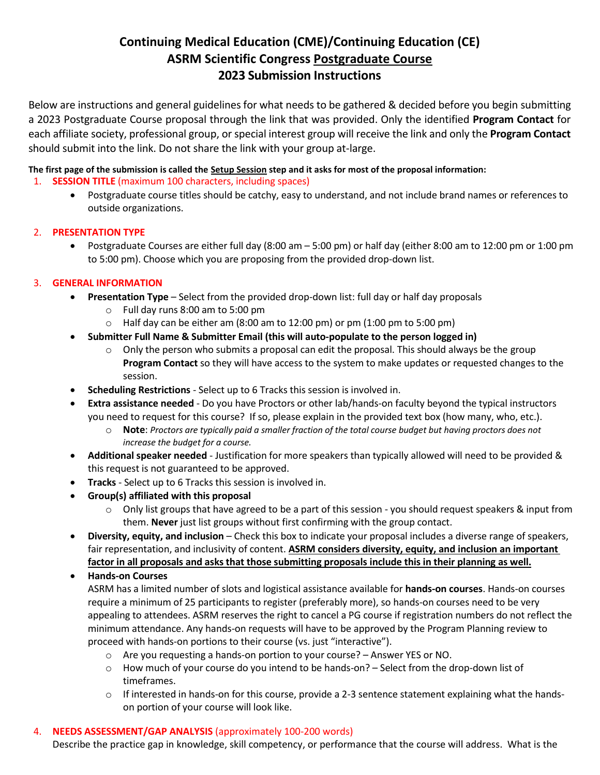# **Continuing Medical Education (CME)/Continuing Education (CE) ASRM Scientific Congress Postgraduate Course 2023 Submission Instructions**

Below are instructions and general guidelines for what needs to be gathered & decided before you begin submitting a 2023 Postgraduate Course proposal through the link that was provided. Only the identified **Program Contact** for each affiliate society, professional group, or special interest group will receive the link and only the **Program Contact** should submit into the link. Do not share the link with your group at-large.

## **The first page of the submission is called the Setup Session step and it asks for most of the proposal information:**

- 1. **SESSION TITLE** (maximum 100 characters, including spaces)
	- Postgraduate course titles should be catchy, easy to understand, and not include brand names or references to outside organizations.

# 2. **PRESENTATION TYPE**

• Postgraduate Courses are either full day (8:00 am – 5:00 pm) or half day (either 8:00 am to 12:00 pm or 1:00 pm to 5:00 pm). Choose which you are proposing from the provided drop-down list.

# 3. **GENERAL INFORMATION**

- **Presentation Type**  Select from the provided drop-down list: full day or half day proposals
	- o Full day runs 8:00 am to 5:00 pm
	- o Half day can be either am (8:00 am to 12:00 pm) or pm (1:00 pm to 5:00 pm)
	- **Submitter Full Name & Submitter Email (this will auto-populate to the person logged in)**
		- $\circ$  Only the person who submits a proposal can edit the proposal. This should always be the group **Program Contact** so they will have access to the system to make updates or requested changes to the session.
- **Scheduling Restrictions** Select up to 6 Tracks this session is involved in.
- **Extra assistance needed** Do you have Proctors or other lab/hands-on faculty beyond the typical instructors you need to request for this course? If so, please explain in the provided text box (how many, who, etc.).
	- o **Note**: *Proctors are typically paid a smaller fraction of the total course budget but having proctors does not increase the budget for a course.*
- **Additional speaker needed** Justification for more speakers than typically allowed will need to be provided & this request is not guaranteed to be approved.
- **Tracks** Select up to 6 Tracks this session is involved in.
- **Group(s) affiliated with this proposal**
	- o Only list groups that have agreed to be a part of this session you should request speakers & input from them. **Never** just list groups without first confirming with the group contact.
- **Diversity, equity, and inclusion**  Check this box to indicate your proposal includes a diverse range of speakers, fair representation, and inclusivity of content. **ASRM considers diversity, equity, and inclusion an important factor in all proposals and asks that those submitting proposals include this in their planning as well.**
- **Hands-on Courses**

ASRM has a limited number of slots and logistical assistance available for **hands-on courses**. Hands-on courses require a minimum of 25 participants to register (preferably more), so hands-on courses need to be very appealing to attendees. ASRM reserves the right to cancel a PG course if registration numbers do not reflect the minimum attendance. Any hands-on requests will have to be approved by the Program Planning review to proceed with hands-on portions to their course (vs. just "interactive").

- o Are you requesting a hands-on portion to your course? Answer YES or NO.
- $\circ$  How much of your course do you intend to be hands-on? Select from the drop-down list of timeframes.
- $\circ$  If interested in hands-on for this course, provide a 2-3 sentence statement explaining what the handson portion of your course will look like.

### 4. **NEEDS ASSESSMENT/GAP ANALYSIS** (approximately 100-200 words)

Describe the practice gap in knowledge, skill competency, or performance that the course will address. What is the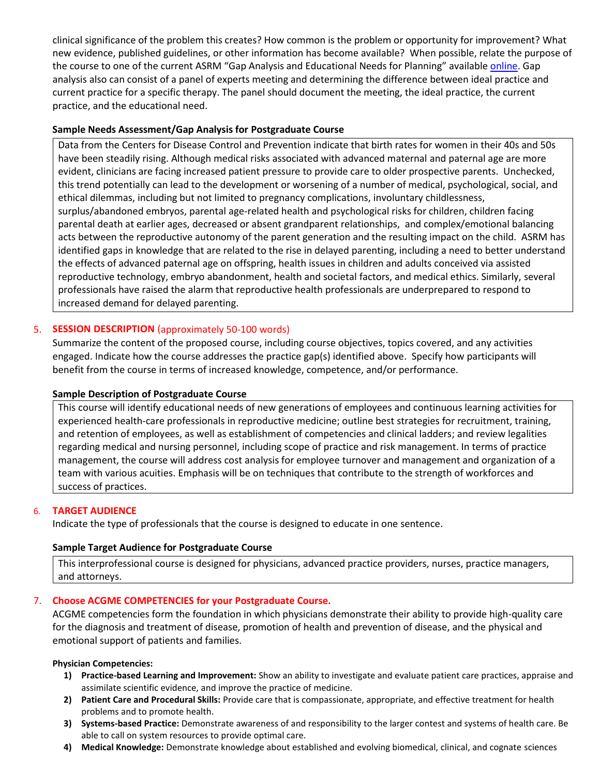clinical significance of the problem this creates? How common is the problem or opportunity for improvement? What new evidence, published guidelines, or other information has become available? When possible, relate the purpose of the course to one of the current ASRM "Gap Analysis and Educational Needs for Planning" available [online.](https://asrmcongress.org/presenters/#Planning) Gap analysis also can consist of a panel of experts meeting and determining the difference between ideal practice and current practice for a specific therapy. The panel should document the meeting, the ideal practice, the current practice, and the educational need.

### **Sample Needs Assessment/Gap Analysis for Postgraduate Course**

Data from the Centers for Disease Control and Prevention indicate that birth rates for women in their 40s and 50s have been steadily rising. Although medical risks associated with advanced maternal and paternal age are more evident, clinicians are facing increased patient pressure to provide care to older prospective parents. Unchecked, this trend potentially can lead to the development or worsening of a number of medical, psychological, social, and ethical dilemmas, including but not limited to pregnancy complications, involuntary childlessness, surplus/abandoned embryos, parental age-related health and psychological risks for children, children facing parental death at earlier ages, decreased or absent grandparent relationships, and complex/emotional balancing acts between the reproductive autonomy of the parent generation and the resulting impact on the child. ASRM has identified gaps in knowledge that are related to the rise in delayed parenting, including a need to better understand the effects of advanced paternal age on offspring, health issues in children and adults conceived via assisted reproductive technology, embryo abandonment, health and societal factors, and medical ethics. Similarly, several professionals have raised the alarm that reproductive health professionals are underprepared to respond to increased demand for delayed parenting.

### 5. **SESSION DESCRIPTION** (approximately 50-100 words)

Summarize the content of the proposed course, including course objectives, topics covered, and any activities engaged. Indicate how the course addresses the practice gap(s) identified above. Specify how participants will benefit from the course in terms of increased knowledge, competence, and/or performance.

### **Sample Description of Postgraduate Course**

This course will identify educational needs of new generations of employees and continuous learning activities for experienced health-care professionals in reproductive medicine; outline best strategies for recruitment, training, and retention of employees, as well as establishment of competencies and clinical ladders; and review legalities regarding medical and nursing personnel, including scope of practice and risk management. In terms of practice management, the course will address cost analysis for employee turnover and management and organization of a team with various acuities. Emphasis will be on techniques that contribute to the strength of workforces and success of practices.

### 6. **TARGET AUDIENCE**

Indicate the type of professionals that the course is designed to educate in one sentence.

### **Sample Target Audience for Postgraduate Course**

This interprofessional course is designed for physicians, advanced practice providers, nurses, practice managers, and attorneys.

### 7. **Choose ACGME COMPETENCIES for your Postgraduate Course.**

ACGME competencies form the foundation in which physicians demonstrate their ability to provide high-quality care for the diagnosis and treatment of disease, promotion of health and prevention of disease, and the physical and emotional support of patients and families.

### **Physician Competencies:**

- **1) Practice-based Learning and Improvement:** Show an ability to investigate and evaluate patient care practices, appraise and assimilate scientific evidence, and improve the practice of medicine.
- **2) Patient Care and Procedural Skills:** Provide care that is compassionate, appropriate, and effective treatment for health problems and to promote health.
- **3) Systems-based Practice:** Demonstrate awareness of and responsibility to the larger contest and systems of health care. Be able to call on system resources to provide optimal care.
- **4) Medical Knowledge:** Demonstrate knowledge about established and evolving biomedical, clinical, and cognate sciences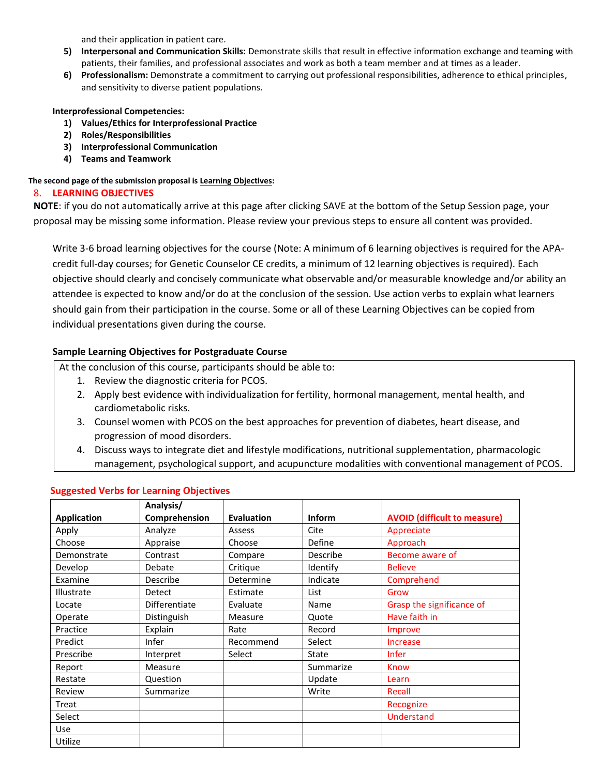and their application in patient care.

- **5) Interpersonal and Communication Skills:** Demonstrate skills that result in effective information exchange and teaming with patients, their families, and professional associates and work as both a team member and at times as a leader.
- **6) Professionalism:** Demonstrate a commitment to carrying out professional responsibilities, adherence to ethical principles, and sensitivity to diverse patient populations.

**Interprofessional Competencies:** 

- **1) Values/Ethics for Interprofessional Practice**
- **2) Roles/Responsibilities**
- **3) Interprofessional Communication**
- **4) Teams and Teamwork**

**The second page of the submission proposal is Learning Objectives:**

#### 8. **LEARNING OBJECTIVES**

**NOTE**: if you do not automatically arrive at this page after clicking SAVE at the bottom of the Setup Session page, your proposal may be missing some information. Please review your previous steps to ensure all content was provided.

Write 3-6 broad learning objectives for the course (Note: A minimum of 6 learning objectives is required for the APAcredit full-day courses; for Genetic Counselor CE credits, a minimum of 12 learning objectives is required). Each objective should clearly and concisely communicate what observable and/or measurable knowledge and/or ability an attendee is expected to know and/or do at the conclusion of the session. Use action verbs to explain what learners should gain from their participation in the course. Some or all of these Learning Objectives can be copied from individual presentations given during the course.

### **Sample Learning Objectives for Postgraduate Course**

At the conclusion of this course, participants should be able to:

- 1. Review the diagnostic criteria for PCOS.
- 2. Apply best evidence with individualization for fertility, hormonal management, mental health, and cardiometabolic risks.
- 3. Counsel women with PCOS on the best approaches for prevention of diabetes, heart disease, and progression of mood disorders.
- 4. Discuss ways to integrate diet and lifestyle modifications, nutritional supplementation, pharmacologic management, psychological support, and acupuncture modalities with conventional management of PCOS.

|                    | Analysis/     |                   |               |                                     |
|--------------------|---------------|-------------------|---------------|-------------------------------------|
| <b>Application</b> | Comprehension | <b>Evaluation</b> | <b>Inform</b> | <b>AVOID (difficult to measure)</b> |
| Apply              | Analyze       | Assess            | Cite          | Appreciate                          |
| Choose             | Appraise      | Choose            | <b>Define</b> | Approach                            |
| Demonstrate        | Contrast      | Compare           | Describe      | Become aware of                     |
| Develop            | Debate        | Critique          | Identify      | <b>Believe</b>                      |
| Examine            | Describe      | Determine         | Indicate      | Comprehend                          |
| Illustrate         | Detect        | Estimate          | List          | Grow                                |
| Locate             | Differentiate | Evaluate          | Name          | Grasp the significance of           |
| Operate            | Distinguish   | Measure           | Quote         | Have faith in                       |
| Practice           | Explain       | Rate              | Record        | Improve                             |
| Predict            | Infer         | Recommend         | Select        | <b>Increase</b>                     |
| Prescribe          | Interpret     | Select            | State         | <b>Infer</b>                        |
| Report             | Measure       |                   | Summarize     | Know                                |
| Restate            | Question      |                   | Update        | Learn                               |
| Review             | Summarize     |                   | Write         | Recall                              |
| Treat              |               |                   |               | Recognize                           |
| Select             |               |                   |               | Understand                          |
| Use                |               |                   |               |                                     |
| Utilize            |               |                   |               |                                     |

### **Suggested Verbs for Learning Objectives**